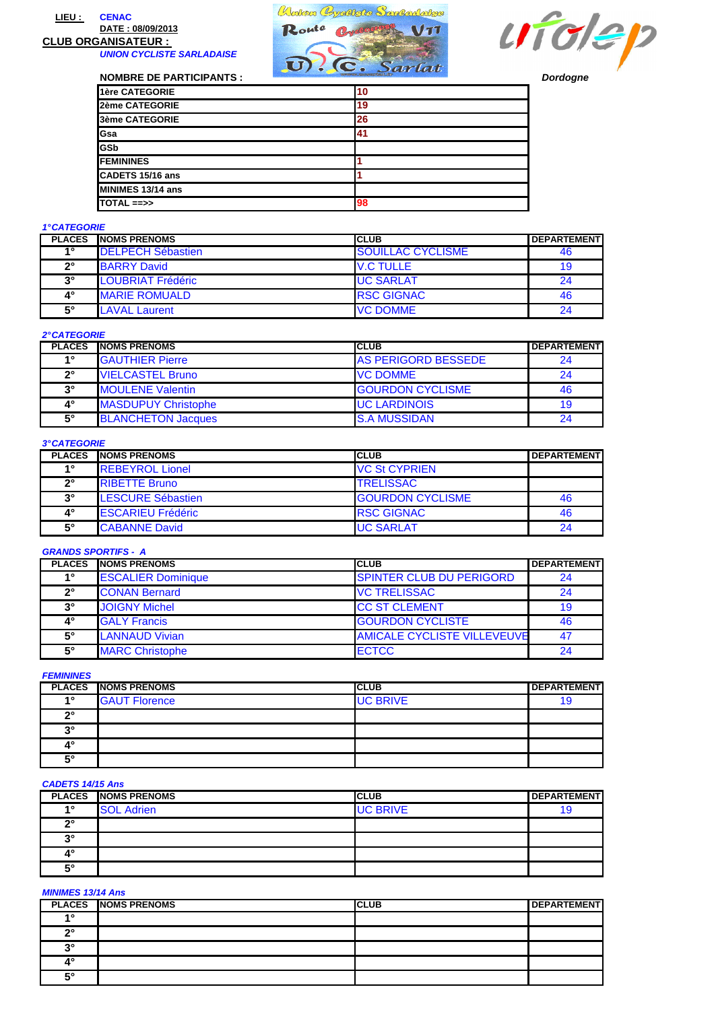### **LIEU : CENAC DATE : 08/09/2013**

# **CLUB ORGANISATEUR :**

**UNION CYCLISTE SARLADAISE**





| <b>NOMBRE DE PARTICIPANTS :</b> | $\mathbf{U}$ . (C. Sarlat | <b>Dordogne</b> |
|---------------------------------|---------------------------|-----------------|
| 1ère CATEGORIE                  | 10                        |                 |
| 2ème CATEGORIE                  | 19                        |                 |
| 3ème CATEGORIE                  | 26                        |                 |
| <b>G</b> sa                     | 41                        |                 |
| <b>IGSb</b>                     |                           |                 |
| <b>IFEMININES</b>               |                           |                 |
| CADETS 15/16 ans                |                           |                 |
| <b>IMINIMES 13/14 ans</b>       |                           |                 |
| <b>TOTAL ==&gt;&gt;</b>         | 98                        |                 |

### **1° CATEGORIE**

| <b>PLACES</b> | <b>INOMS PRENOMS</b>     | <b>ICLUB</b>             | <b>DEPARTEMENT</b> |
|---------------|--------------------------|--------------------------|--------------------|
| 40            | <b>DELPECH Sébastien</b> | <b>SOUILLAC CYCLISME</b> | 46                 |
| າ°            | <b>BARRY David</b>       | <b>V.C TULLE</b>         | 19                 |
| $3^\circ$     | LOUBRIAT Frédéric        | <b>UC SARLAT</b>         | 24                 |
| 4°            | <b>MARIE ROMUALD</b>     | <b>RSC GIGNAC</b>        | 46                 |
| $5^\circ$     | <b>LAVAL Laurent</b>     | <b>VC DOMME</b>          | 24                 |

# **2° CATEGORIE**

| <b>PLACES</b> | <b>NOMS PRENOMS</b>        | ICLUB                      | <b>IDEPARTEMENT</b> |
|---------------|----------------------------|----------------------------|---------------------|
| 40            | <b>IGAUTHIER Pierre</b>    | <b>AS PERIGORD BESSEDE</b> | 24                  |
| າ∘            | <b>VIELCASTEL Bruno</b>    | <b>VC DOMME</b>            | 24                  |
| 20            | <b>MOULENE Valentin</b>    | <b>GOURDON CYCLISME</b>    | 46                  |
| 4°            | <b>MASDUPUY Christophe</b> | <b>UC LARDINOIS</b>        | 19                  |
| 5۰            | <b>BLANCHETON Jacques</b>  | <b>S.A MUSSIDAN</b>        | 24                  |

### **3° CATEGORIE**

| <b>PLACES</b> | <b>INOMS PRENOMS</b>     | <b>CLUB</b>             | <b>DEPARTEMENT</b> |
|---------------|--------------------------|-------------------------|--------------------|
| 40            | <b>REBEYROL Lionel</b>   | <b>VC St CYPRIEN</b>    |                    |
| $2^{\circ}$   | <b>IRIBETTE Bruno</b>    | <b>TRELISSAC</b>        |                    |
| $3^\circ$     | LESCURE Sébastien        | <b>GOURDON CYCLISME</b> | 46                 |
| 4°            | <b>ESCARIEU Frédéric</b> | <b>RSC GIGNAC</b>       | 46                 |
| $5^\circ$     | <b>CABANNE David</b>     | <b>UC SARLAT</b>        | 24                 |

#### **GRANDS SPORTIFS - A**

| <b>PLACES</b> | <b>INOMS PRENOMS</b>      | <b>CLUB</b>                        | <b>DEPARTEMENT</b> |
|---------------|---------------------------|------------------------------------|--------------------|
| 40            | <b>ESCALIER Dominique</b> | <b>SPINTER CLUB DU PERIGORD</b>    | 24                 |
| າ∘            | <b>CONAN Bernard</b>      | <b>VC TRELISSAC</b>                | 24                 |
| $3^\circ$     | <b>JOIGNY Michel</b>      | <b>CC ST CLEMENT</b>               | 19                 |
| 4°            | <b>GALY Francis</b>       | <b>GOURDON CYCLISTE</b>            | 46                 |
| $5^\circ$     | <b>LANNAUD Vivian</b>     | <b>AMICALE CYCLISTE VILLEVEUVE</b> | 47                 |
| $5^\circ$     | <b>MARC Christophe</b>    | <b>ECTCC</b>                       | 24                 |

### **FEMININES**

|           | <b>PLACES NOMS PRENOMS</b> | <b>CLUB</b>     | <b>DEPARTEMENT</b> |
|-----------|----------------------------|-----------------|--------------------|
| <b>40</b> | <b>GAUT Florence</b>       | <b>UC BRIVE</b> | ıo                 |
| າ         |                            |                 |                    |
| oc.       |                            |                 |                    |
| 40        |                            |                 |                    |
| r.        |                            |                 |                    |

## **CADETS 14/15 Ans**

|            | <b>PLACES NOMS PRENOMS</b> | <b>CLUB</b>     | <b>DEPARTEMENT</b> |
|------------|----------------------------|-----------------|--------------------|
| $\sim$     | <b>SOL Adrien</b>          | <b>UC BRIVE</b> | 19                 |
| no         |                            |                 |                    |
| າ          |                            |                 |                    |
| 4°         |                            |                 |                    |
| <b>E</b> ° |                            |                 |                    |

#### **MINIMES 13/14 Ans**

|                  | <b>PLACES NOMS PRENOMS</b> | <b>CLUB</b> | <b>DEPARTEMENT</b> |
|------------------|----------------------------|-------------|--------------------|
| $\overline{A}$ O |                            |             |                    |
| 0°               |                            |             |                    |
| no.              |                            |             |                    |
| ۱٥               |                            |             |                    |
| r.               |                            |             |                    |